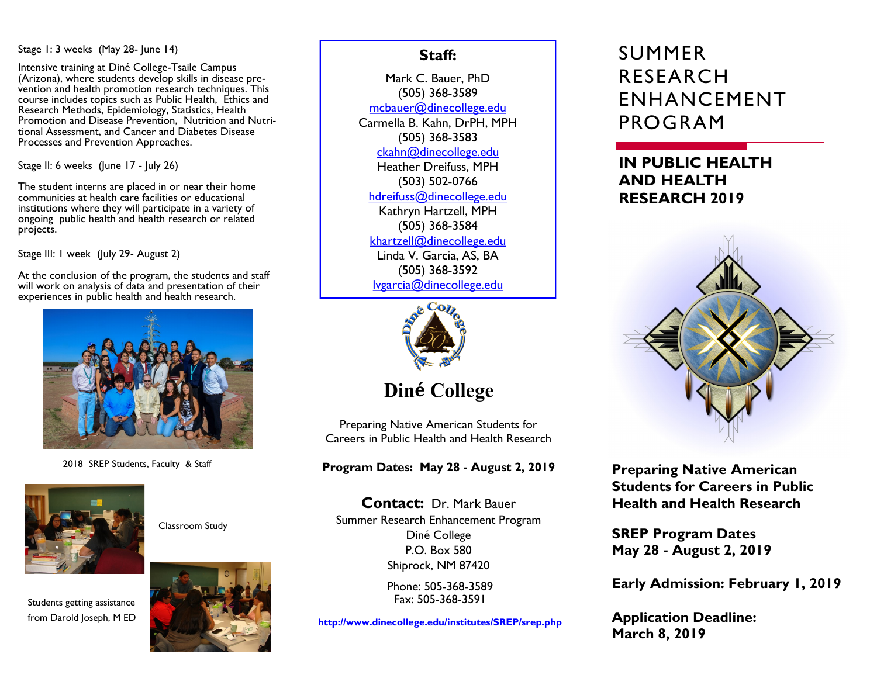#### Stage 1: 3 weeks (May 28- June 14)

Intensive training at Diné College-Tsaile Campus (Arizona), where students develop skills in disease prevention and health promotion research techniques. This course includes topics such as Public Health, Ethics and Research Methods, Epidemiology, Statistics, Health Promotion and Disease Prevention, Nutrition and Nutritional Assessment, and Cancer and Diabetes Disease Processes and Prevention Approaches.

Stage II: 6 weeks (June 17 - July 26)

The student interns are placed in or near their home communities at health care facilities or educational institutions where they will participate in a variety of ongoing public health and health research or related projects.

Stage III: I week (July 29- August 2)

At the conclusion of the program, the students and staff will work on analysis of data and presentation of their experiences in public health and health research.



2018 SREP Students, Faculty & Staff



Classroom Study





## **Staff:**

Mark C. Bauer, PhD (505) 368-3589 mcbauer@dinecollege.edu Carmella B. Kahn, DrPH, MPH (505) 368-3583 ckahn@dinecollege.edu Heather Dreifuss, MPH (503) 502-0766 hdreifuss@dinecollege.edu Kathryn Hartzell, MPH (505) 368-3584 khartzell@dinecollege.edu Linda V. Garcia, AS, BA (505) 368-3592

lvgarcia@dinecollege.edu



**Diné** College

Preparing Native American Students for Careers in Public Health and Health Research

**Program Dates: May 28 - August 2, 2019**

**Contact:** Dr. Mark Bauer Summer Research Enhancement Program Diné College P.O. Box 580 Shiprock, NM 87420

> Phone: 505-368-3589 Fax: 505-368-3591

**http://www.dinecollege.edu/institutes/SREP/srep.php**

# SUMMER RESEARCH ENHANCEMENT PROGRAM

# **IN PUBLIC HEALTH AND HEALTH RESEARCH 2019**



**Preparing Native American Students for Careers in Public Health and Health Research**

**SREP Program Dates May 28 - August 2, 2019**

**Early Admission: February 1, 2019**

**Application Deadline: March 8, 2019**